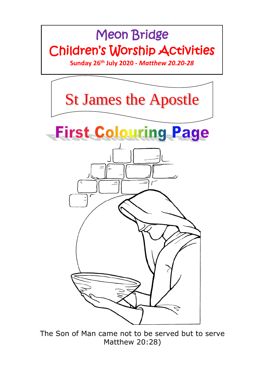## Meon Bridge Children's Worship Activities

**Sunday 26 th July 2020 -** *Matthew 20.20-28*



The Son of Man came not to be served but to serve Matthew 20:28)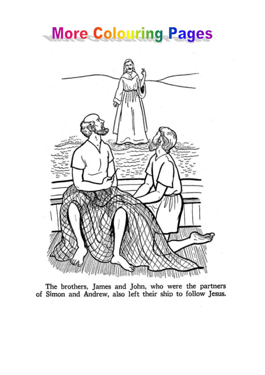## **More Colouring Pages**



The brothers, James and John, who were the partners of Simon and Andrew, also left their ship to follow Jesus.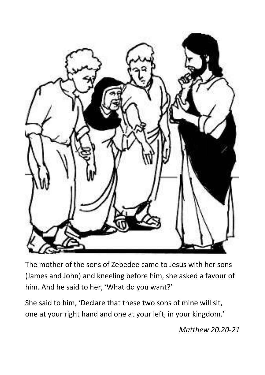

The mother of the sons of Zebedee came to Jesus with her sons (James and John) and kneeling before him, she asked a favour of him. And he said to her, 'What do you want?'

She said to him, 'Declare that these two sons of mine will sit, one at your right hand and one at your left, in your kingdom.'

*Matthew 20.20-21*